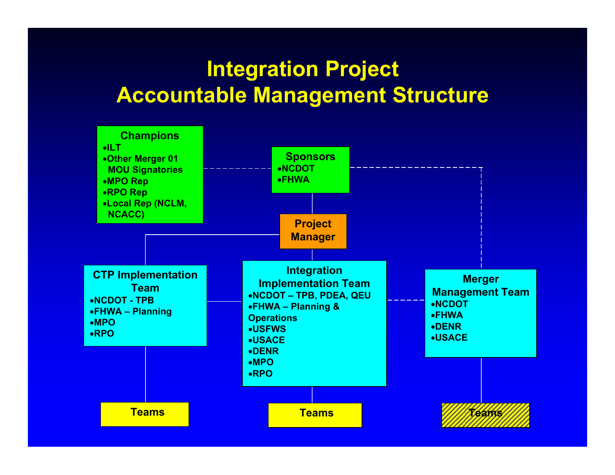## **Integration Project Accountable Management Structure**